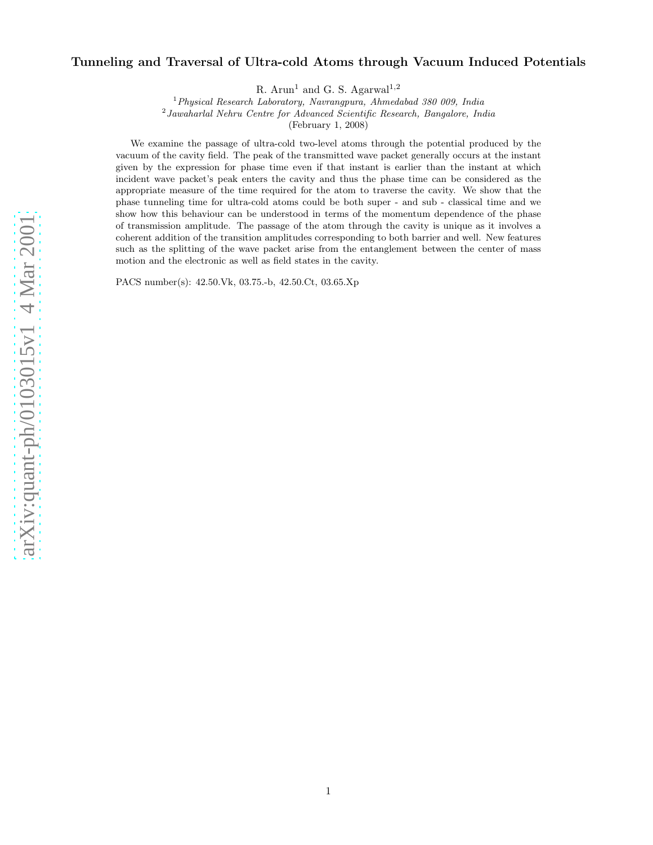# Tunneling and Traversal of Ultra-cold Atoms through Vacuum Induced Potentials

R. Arun<sup>1</sup> and G. S. Agarwal<sup>1,2</sup>

 $1$ Physical Research Laboratory, Navrangpura, Ahmedabad 380 009, India

<sup>2</sup> Jawaharlal Nehru Centre for Advanced Scientific Research, Bangalore, India

(February 1, 2008)

We examine the passage of ultra-cold two-level atoms through the potential produced by the vacuum of the cavity field. The peak of the transmitted wave packet generally occurs at the instant given by the expression for phase time even if that instant is earlier than the instant at which incident wave packet's peak enters the cavity and thus the phase time can be considered as the appropriate measure of the time required for the atom to traverse the cavity. We show that the phase tunneling time for ultra-cold atoms could be both super - and sub - classical time and we show how this behaviour can be understood in terms of the momentum dependence of the phase of transmission amplitude. The passage of the atom through the cavity is unique as it involves a coherent addition of the transition amplitudes corresponding to both barrier and well. New features such as the splitting of the wave packet arise from the entanglement between the center of mass motion and the electronic as well as field states in the cavity .

PACS number(s): 42.50.Vk, 03.75.-b, 42.50.Ct, 03.65.Xp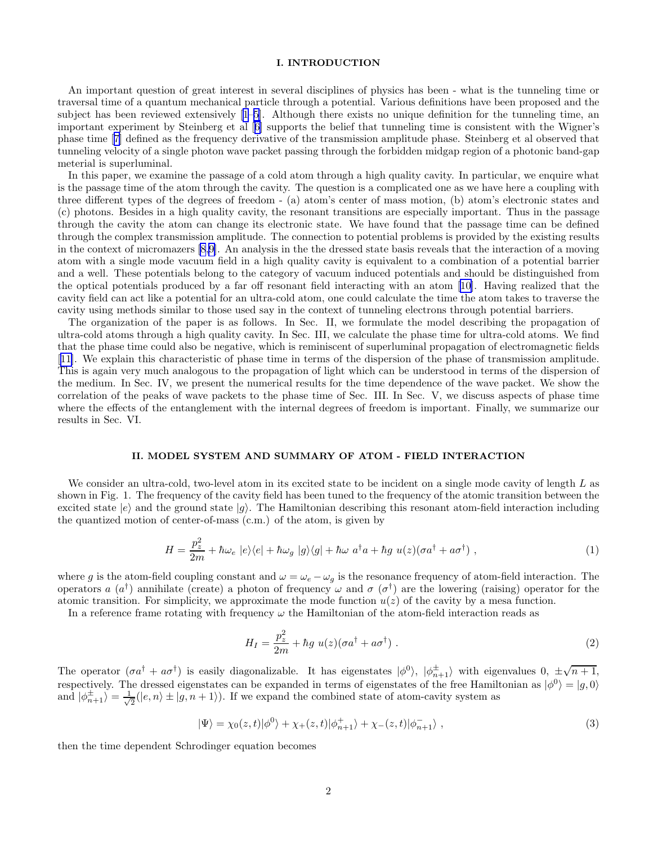## I. INTRODUCTION

An important question of great interest in several disciplines of physics has been - what is the tunneling time or traversal time of a quantum mechanical particle through a potential. Various definitions have been proposed and the subject has been reviewed extensively [\[1–5\]](#page-6-0). Although there exists no unique definition for the tunneling time, an important experiment by Steinberg et al[[6\]](#page-6-0) supports the belief that tunneling time is consistent with the Wigner's phase time[[7\]](#page-6-0) defined as the frequency derivative of the transmission amplitude phase. Steinberg et al observed that tunneling velocity of a single photon wave packet passing through the forbidden midgap region of a photonic band-gap meterial is superluminal.

In this paper, we examine the passage of a cold atom through a high quality cavity. In particular, we enquire what is the passage time of the atom through the cavity. The question is a complicated one as we have here a coupling with three different types of the degrees of freedom - (a) atom's center of mass motion, (b) atom's electronic states and (c) photons. Besides in a high quality cavity, the resonant transitions are especially important. Thus in the passage through the cavity the atom can change its electronic state. We have found that the passage time can be defined through the complex transmission amplitude. The connection to potential problems is provided by the existing results in the context of micromazers [\[8](#page-6-0),[9](#page-6-0)]. An analysis in the the dressed state basis reveals that the interaction of a moving atom with a single mode vacuum field in a high quality cavity is equivalent to a combination of a potential barrier and a well. These potentials belong to the category of vacuum induced potentials and should be distinguished from the optical potentials produced by a far off resonant field interacting with an atom[[10\]](#page-6-0). Having realized that the cavity field can act like a potential for an ultra-cold atom, one could calculate the time the atom takes to traverse the cavity using methods similar to those used say in the context of tunneling electrons through potential barriers.

The organization of the paper is as follows. In Sec. II, we formulate the model describing the propagation of ultra-cold atoms through a high quality cavity. In Sec. III, we calculate the phase time for ultra-cold atoms. We find that the phase time could also be negative, which is reminiscent of superluminal propagation of electromagnetic fields [[11\]](#page-6-0). We explain this characteristic of phase time in terms of the dispersion of the phase of transmission amplitude. This is again very much analogous to the propagation of light which can be understood in terms of the dispersion of the medium. In Sec. IV, we present the numerical results for the time dependence of the wave packet. We show the correlation of the peaks of wave packets to the phase time of Sec. III. In Sec. V, we discuss aspects of phase time where the effects of the entanglement with the internal degrees of freedom is important. Finally, we summarize our results in Sec. VI.

#### II. MODEL SYSTEM AND SUMMARY OF ATOM - FIELD INTERACTION

We consider an ultra-cold, two-level atom in its excited state to be incident on a single mode cavity of length  $L$  as shown in Fig. 1. The frequency of the cavity field has been tuned to the frequency of the atomic transition between the excited state  $|e\rangle$  and the ground state  $|g\rangle$ . The Hamiltonian describing this resonant atom-field interaction including the quantized motion of center-of-mass (c.m.) of the atom, is given by

$$
H = \frac{p_z^2}{2m} + \hbar \omega_e \left| e \rangle \langle e \right| + \hbar \omega_g \left| g \rangle \langle g \right| + \hbar \omega a^\dagger a + \hbar g u(z) (\sigma a^\dagger + a \sigma^\dagger) , \qquad (1)
$$

where g is the atom-field coupling constant and  $\omega = \omega_e - \omega_g$  is the resonance frequency of atom-field interaction. The operators a  $(a^{\dagger})$  annihilate (create) a photon of frequency  $\omega$  and  $\sigma$  ( $\sigma^{\dagger}$ ) are the lowering (raising) operator for the atomic transition. For simplicity, we approximate the mode function  $u(z)$  of the cavity by a mesa function.

In a reference frame rotating with frequency  $\omega$  the Hamiltonian of the atom-field interaction reads as

$$
H_I = \frac{p_z^2}{2m} + \hbar g \ u(z)(\sigma a^\dagger + a\sigma^\dagger) \ . \tag{2}
$$

The operator  $(\sigma a^{\dagger} + a\sigma^{\dagger})$  is easily diagonalizable. It has eigenstates  $|\phi^0\rangle$ ,  $|\phi^{\pm}_{n+1}\rangle$  with eigenvalues  $0, \pm \sqrt{n+1}$ , respectively. The dressed eigenstates can be expanded in terms of eigenstates of the free Hamiltonian as  $|\phi^0\rangle = |g,0\rangle$ and  $|\phi_{n+1}^{\pm}\rangle = \frac{1}{\sqrt{2}}$  $\frac{1}{2}(|e,n\rangle \pm |g,n+1\rangle)$ . If we expand the combined state of atom-cavity system as

$$
|\Psi\rangle = \chi_0(z,t)|\phi^0\rangle + \chi_+(z,t)|\phi^+_{n+1}\rangle + \chi_-(z,t)|\phi^-_{n+1}\rangle \;, \tag{3}
$$

then the time dependent Schrodinger equation becomes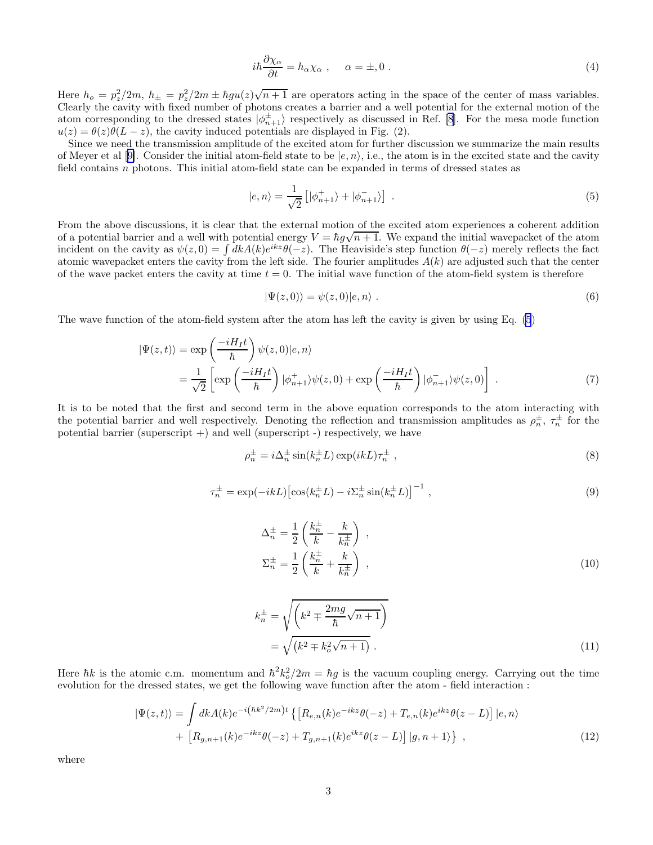$$
i\hbar \frac{\partial \chi_{\alpha}}{\partial t} = h_{\alpha} \chi_{\alpha} , \qquad \alpha = \pm, 0 . \tag{4}
$$

<span id="page-2-0"></span>Here  $h_o = p_z^2/2m$ ,  $h_{\pm} = p_z^2/2m \pm \hbar g u(z)\sqrt{n+1}$  are operators acting in the space of the center of mass variables. Clearly the cavity with fixed number of photons creates a barrier and a well potential for the external motion of the atom corresponding to the dressed states  $|\phi_{n+1}^{\pm}\rangle$  respectively as discussed in Ref. [\[8](#page-6-0)]. For the mesa mode function  $u(z) = \theta(z)\theta(L-z)$ , the cavity induced potentials are displayed in Fig. (2).

Since we need the transmission amplitude of the excited atom for further discussion we summarize the main results ofMeyer et al [[9\]](#page-6-0). Consider the initial atom-field state to be  $|e, n\rangle$ , i.e., the atom is in the excited state and the cavity field contains n photons. This initial atom-field state can be expanded in terms of dressed states as

$$
|e,n\rangle = \frac{1}{\sqrt{2}} \left[ |\phi_{n+1}^+\rangle + |\phi_{n+1}^-\rangle \right] \tag{5}
$$

From the above discussions, it is clear that the external motion of the excited atom experiences a coherent addition of a potential barrier and a well with potential energy  $V = \hbar g \sqrt{n+1}$ . We expand the initial wavepacket of the atom incident on the cavity as  $\psi(z,0) = \int dk A(k)e^{ikz}\theta(-z)$ . The Heaviside's step function  $\theta(-z)$  merely reflects the fact atomic wavepacket enters the cavity from the left side. The fourier amplitudes  $A(k)$  are adjusted such that the center of the wave packet enters the cavity at time  $t = 0$ . The initial wave function of the atom-field system is therefore

$$
|\Psi(z,0)\rangle = \psi(z,0)|e,n\rangle . \tag{6}
$$

The wave function of the atom-field system after the atom has left the cavity is given by using Eq. (5)

$$
|\Psi(z,t)\rangle = \exp\left(\frac{-iH_I t}{\hbar}\right)\psi(z,0)|e,n\rangle
$$
  
= 
$$
\frac{1}{\sqrt{2}}\left[\exp\left(\frac{-iH_I t}{\hbar}\right)|\phi_{n+1}^+\rangle\psi(z,0) + \exp\left(\frac{-iH_I t}{\hbar}\right)|\phi_{n+1}^-\rangle\psi(z,0)\right].
$$
 (7)

It is to be noted that the first and second term in the above equation corresponds to the atom interacting with the potential barrier and well respectively. Denoting the reflection and transmission amplitudes as  $\rho_n^{\pm}$ ,  $\tau_n^{\pm}$  for the potential barrier (superscript  $+)$  and well (superscript  $-)$  respectively, we have

$$
\rho_n^{\pm} = i \Delta_n^{\pm} \sin(k_n^{\pm} L) \exp(ikL) \tau_n^{\pm} , \qquad (8)
$$

$$
\tau_n^{\pm} = \exp(-ikL) \left[ \cos(k_n^{\pm} L) - i \Sigma_n^{\pm} \sin(k_n^{\pm} L) \right]^{-1},\tag{9}
$$

$$
\Delta_n^{\pm} = \frac{1}{2} \left( \frac{k_n^{\pm}}{k} - \frac{k}{k_n^{\pm}} \right) ,
$$
  
\n
$$
\Sigma_n^{\pm} = \frac{1}{2} \left( \frac{k_n^{\pm}}{k} + \frac{k}{k_n^{\pm}} \right) ,
$$
\n(10)

$$
k_n^{\pm} = \sqrt{\left(k^2 \mp \frac{2mg}{\hbar}\sqrt{n+1}\right)}
$$

$$
= \sqrt{\left(k^2 \mp k_o^2\sqrt{n+1}\right)}.
$$
 (11)

Here  $\hbar k$  is the atomic c.m. momentum and  $\hbar^2 k_o^2/2m = \hbar g$  is the vacuum coupling energy. Carrying out the time evolution for the dressed states, we get the following wave function after the atom - field interaction :

$$
|\Psi(z,t)\rangle = \int dk A(k)e^{-i(\hbar k^2/2m)t} \left\{ \left[ R_{e,n}(k)e^{-ikz}\theta(-z) + T_{e,n}(k)e^{ikz}\theta(z-L) \right] | e,n \right\} + \left[ R_{g,n+1}(k)e^{-ikz}\theta(-z) + T_{g,n+1}(k)e^{ikz}\theta(z-L) \right] | g,n+1 \rangle \right\} ,
$$
(12)

where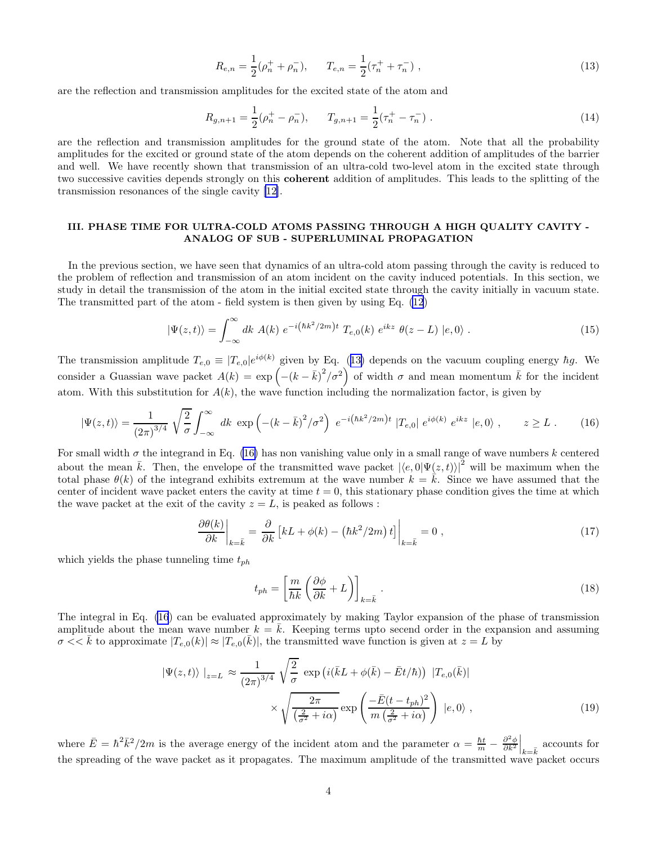$$
R_{e,n} = \frac{1}{2}(\rho_n^+ + \rho_n^-), \qquad T_{e,n} = \frac{1}{2}(\tau_n^+ + \tau_n^-) ,
$$
\n(13)

<span id="page-3-0"></span>are the reflection and transmission amplitudes for the excited state of the atom and

$$
R_{g,n+1} = \frac{1}{2}(\rho_n^+ - \rho_n^-), \qquad T_{g,n+1} = \frac{1}{2}(\tau_n^+ - \tau_n^-) \tag{14}
$$

are the reflection and transmission amplitudes for the ground state of the atom. Note that all the probability amplitudes for the excited or ground state of the atom depends on the coherent addition of amplitudes of the barrier and well. We have recently shown that transmission of an ultra-cold two-level atom in the excited state through two successive cavities depends strongly on this coherent addition of amplitudes. This leads to the splitting of the transmission resonances of the single cavity [\[12\]](#page-6-0).

### III. PHASE TIME FOR ULTRA-COLD ATOMS PASSING THROUGH A HIGH QUALITY CAVITY - ANALOG OF SUB - SUPERLUMINAL PROPAGATION

In the previous section, we have seen that dynamics of an ultra-cold atom passing through the cavity is reduced to the problem of reflection and transmission of an atom incident on the cavity induced potentials. In this section, we study in detail the transmission of the atom in the initial excited state through the cavity initially in vacuum state. The transmitted part of the atom - field system is then given by using Eq. [\(12](#page-2-0))

$$
|\Psi(z,t)\rangle = \int_{-\infty}^{\infty} dk \ A(k) \ e^{-i(\hbar k^2/2m)t} \ T_{e,0}(k) \ e^{ikz} \ \theta(z-L) \ |e,0\rangle \ . \tag{15}
$$

The transmission amplitude  $T_{e,0} \equiv |T_{e,0}|e^{i\phi(k)}$  given by Eq. (13) depends on the vacuum coupling energy  $\hbar g$ . We consider a Guassian wave packet  $A(k) = \exp \left(-\left(k - \bar{k}\right)^2/\sigma^2\right)$  of width  $\sigma$  and mean momentum  $\bar{k}$  for the incident atom. With this substitution for  $A(k)$ , the wave function including the normalization factor, is given by

$$
|\Psi(z,t)\rangle = \frac{1}{(2\pi)^{3/4}} \sqrt{\frac{2}{\sigma}} \int_{-\infty}^{\infty} dk \exp\left(-(k-\bar{k})^2/\sigma^2\right) e^{-i\left(\hbar k^2/2m\right)t} |T_{e,0}| e^{i\phi(k)} e^{ikz} |e,0\rangle , \qquad z \ge L . \tag{16}
$$

For small width  $\sigma$  the integrand in Eq. (16) has non vanishing value only in a small range of wave numbers k centered about the mean  $\bar{k}$ . Then, the envelope of the transmitted wave packet  $|\langle e, 0|\Psi(z, t)\rangle|^2$  will be maximum when the total phase  $\theta(k)$  of the integrand exhibits extremum at the wave number  $k = \overline{k}$ . Since we have assumed that the center of incident wave packet enters the cavity at time  $t = 0$ , this stationary phase condition gives the time at which the wave packet at the exit of the cavity  $z = L$ , is peaked as follows:

$$
\left. \frac{\partial \theta(k)}{\partial k} \right|_{k=\bar{k}} = \left. \frac{\partial}{\partial k} \left[ kL + \phi(k) - \left( \hbar k^2 / 2m \right) t \right] \right|_{k=\bar{k}} = 0 \tag{17}
$$

which yields the phase tunneling time  $t_{ph}$ 

$$
t_{ph} = \left[\frac{m}{\hbar k} \left(\frac{\partial \phi}{\partial k} + L\right)\right]_{k=\bar{k}}.\tag{18}
$$

The integral in Eq. (16) can be evaluated approximately by making Taylor expansion of the phase of transmission amplitude about the mean wave number  $k = \overline{k}$ . Keeping terms upto secend order in the expansion and assuming  $\sigma \ll \bar{k}$  to approximate  $|T_{e,0}(k)| \approx |T_{e,0}(\bar{k})|$ , the transmitted wave function is given at  $z = L$  by

$$
|\Psi(z,t)\rangle|_{z=L} \approx \frac{1}{(2\pi)^{3/4}} \sqrt{\frac{2}{\sigma}} \exp\left(i(\bar{k}L+\phi(\bar{k})-\bar{E}t/\hbar)\right) |T_{e,0}(\bar{k})|
$$

$$
\times \sqrt{\frac{2\pi}{(\frac{2}{\sigma^2}+i\alpha)}} \exp\left(\frac{-\bar{E}(t-t_{ph})^2}{m(\frac{2}{\sigma^2}+i\alpha)}\right) |e,0\rangle ,
$$
 (19)

where  $\bar{E} = \hbar^2 \bar{k}^2 / 2m$  is the average energy of the incident atom and the parameter  $\alpha = \frac{\hbar t}{m} - \frac{\partial^2 \phi}{\partial k^2}\Big|_{k=\bar{k}}$  accounts for the spreading of the wave packet as it propagates. The maximum amplitude of the transmitted wave packet occurs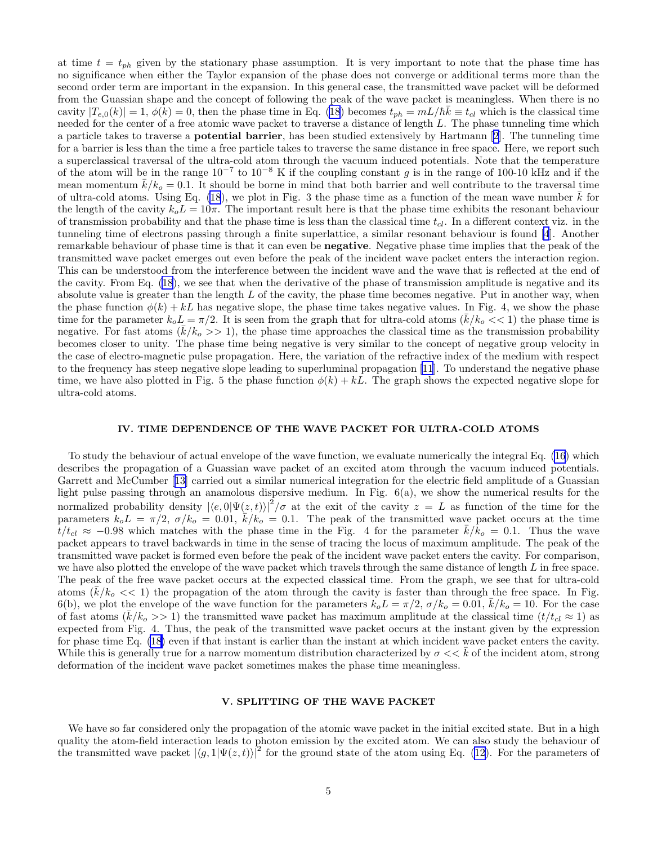at time  $t = t_{ph}$  given by the stationary phase assumption. It is very important to note that the phase time has no significance when either the Taylor expansion of the phase does not converge or additional terms more than the second order term are important in the expansion. In this general case, the transmitted wave packet will be deformed from the Guassian shape and the concept of following the peak of the wave packet is meaningless. When there is no cavity  $|T_{e,0}(k)| = 1$ ,  $\phi(k) = 0$ , then the phase time in Eq. [\(18](#page-3-0)) becomes  $t_{ph} = mL/\hbar k \equiv t_{cl}$  which is the classical time needed for the center of a free atomic wave packet to traverse a distance of length L. The phase tunneling time which a particle takes to traverse a potential barrier, has been studied extensively by Hartmann[[2\]](#page-6-0). The tunneling time for a barrier is less than the time a free particle takes to traverse the same distance in free space. Here, we report such a superclassical traversal of the ultra-cold atom through the vacuum induced potentials. Note that the temperature of the atom will be in the range  $10^{-7}$  to  $10^{-8}$  K if the coupling constant g is in the range of 100-10 kHz and if the mean momentum  $\bar{k}/k_o = 0.1$ . It should be borne in mind that both barrier and well contribute to the traversal time of ultra-cold atoms. Using Eq.  $(18)$  $(18)$ , we plot in Fig. 3 the phase time as a function of the mean wave number k for the length of the cavity  $k_oL = 10\pi$ . The important result here is that the phase time exhibits the resonant behaviour of transmission probability and that the phase time is less than the classical time  $t_{cl}$ . In a different context viz. in the tunneling time of electrons passing through a finite superlattice, a similar resonant behaviour is found [\[4](#page-6-0)]. Another remarkable behaviour of phase time is that it can even be negative. Negative phase time implies that the peak of the transmitted wave packet emerges out even before the peak of the incident wave packet enters the interaction region. This can be understood from the interference between the incident wave and the wave that is reflected at the end of the cavity. From Eq. [\(18](#page-3-0)), we see that when the derivative of the phase of transmission amplitude is negative and its absolute value is greater than the length  $L$  of the cavity, the phase time becomes negative. Put in another way, when the phase function  $\phi(k) + kL$  has negative slope, the phase time takes negative values. In Fig. 4, we show the phase time for the parameter  $k_o L = \pi/2$ . It is seen from the graph that for ultra-cold atoms  $(k/k_o \ll 1)$  the phase time is negative. For fast atoms  $(\bar{k}/k_o>>1)$ , the phase time approaches the classical time as the transmission probability becomes closer to unity. The phase time being negative is very similar to the concept of negative group velocity in the case of electro-magnetic pulse propagation. Here, the variation of the refractive index of the medium with respect to the frequency has steep negative slope leading to superluminal propagation [\[11](#page-6-0)]. To understand the negative phase time, we have also plotted in Fig. 5 the phase function  $\phi(k) + kL$ . The graph shows the expected negative slope for ultra-cold atoms.

### IV. TIME DEPENDENCE OF THE WAVE PACKET FOR ULTRA-COLD ATOMS

To study the behaviour of actual envelope of the wave function, we evaluate numerically the integral Eq. [\(16](#page-3-0)) which describes the propagation of a Guassian wave packet of an excited atom through the vacuum induced potentials. Garrett and McCumber[[13\]](#page-6-0) carried out a similar numerical integration for the electric field amplitude of a Guassian light pulse passing through an anamolous dispersive medium. In Fig. 6(a), we show the numerical results for the normalized probability density  $|\langle e, 0|\Psi(z, t)\rangle|^2/\sigma$  at the exit of the cavity  $z = L$  as function of the time for the parameters  $k_o L = \pi/2$ ,  $\sigma/k_o = 0.01$ ,  $\bar{k}/k_o = 0.1$ . The peak of the transmitted wave packet occurs at the time  $t/t_{cl} \approx -0.98$  which matches with the phase time in the Fig. 4 for the parameter  $k/k_0 = 0.1$ . Thus the wave packet appears to travel backwards in time in the sense of tracing the locus of maximum amplitude. The peak of the transmitted wave packet is formed even before the peak of the incident wave packet enters the cavity. For comparison, we have also plotted the envelope of the wave packet which travels through the same distance of length L in free space. The peak of the free wave packet occurs at the expected classical time. From the graph, we see that for ultra-cold atoms  $(\bar{k}/k_o \ll 1)$  the propagation of the atom through the cavity is faster than through the free space. In Fig. 6(b), we plot the envelope of the wave function for the parameters  $k_o L = \pi/2$ ,  $\sigma/k_o = 0.01$ ,  $\bar{k}/k_o = 10$ . For the case of fast atoms  $(k/k_0 >> 1)$  the transmitted wave packet has maximum amplitude at the classical time  $(t/t_{cl} \approx 1)$  as expected from Fig. 4. Thus, the peak of the transmitted wave packet occurs at the instant given by the expression for phase time Eq. [\(18\)](#page-3-0) even if that instant is earlier than the instant at which incident wave packet enters the cavity. While this is generally true for a narrow momentum distribution characterized by  $\sigma \ll k$  of the incident atom, strong deformation of the incident wave packet sometimes makes the phase time meaningless.

#### V. SPLITTING OF THE WAVE PACKET

We have so far considered only the propagation of the atomic wave packet in the initial excited state. But in a high quality the atom-field interaction leads to photon emission by the excited atom. We can also study the behaviour of the transmitted wave packet  $|\langle g, 1|\Psi(z, t)\rangle|^2$  for the ground state of the atom using Eq. [\(12](#page-2-0)). For the parameters of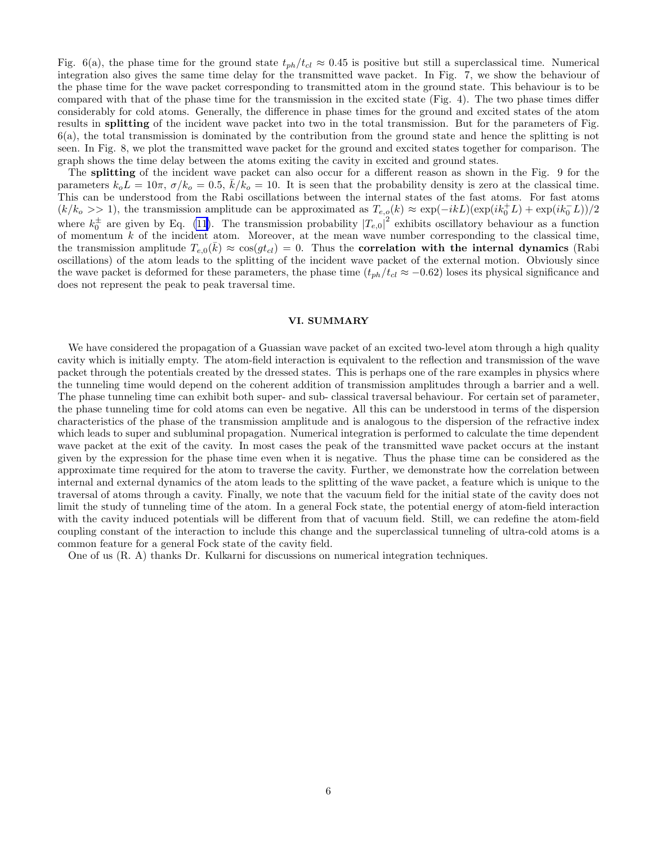Fig. 6(a), the phase time for the ground state  $t_{ph}/t_{cl} \approx 0.45$  is positive but still a superclassical time. Numerical integration also gives the same time delay for the transmitted wave packet. In Fig. 7, we show the behaviour of the phase time for the wave packet corresponding to transmitted atom in the ground state. This behaviour is to be compared with that of the phase time for the transmission in the excited state (Fig. 4). The two phase times differ considerably for cold atoms. Generally, the difference in phase times for the ground and excited states of the atom results in splitting of the incident wave packet into two in the total transmission. But for the parameters of Fig. 6(a), the total transmission is dominated by the contribution from the ground state and hence the splitting is not seen. In Fig. 8, we plot the transmitted wave packet for the ground and excited states together for comparison. The graph shows the time delay between the atoms exiting the cavity in excited and ground states.

The splitting of the incident wave packet can also occur for a different reason as shown in the Fig. 9 for the parameters  $k_o L = 10\pi$ ,  $\sigma/k_o = 0.5$ ,  $k/k_o = 10$ . It is seen that the probability density is zero at the classical time. This can be understood from the Rabi oscillations between the internal states of the fast atoms. For fast atoms  $(k/k_0 >> 1)$ , the transmission amplitude can be approximated as  $T_{e,q}(k) \approx \exp(-ikL)(\exp(ik_0^+L) + \exp(ik_0^-L))/2$ where  $k_0^{\pm}$  are given by Eq. [\(11\)](#page-2-0). The transmission probability  $|T_{e,0}|^2$  exhibits oscillatory behaviour as a function of momentum  $k$  of the incident atom. Moreover, at the mean wave number corresponding to the classical time, the transmission amplitude  $T_{e,0}(\bar{k}) \approx \cos(gt_{cl}) = 0$ . Thus the correlation with the internal dynamics (Rabi oscillations) of the atom leads to the splitting of the incident wave packet of the external motion. Obviously since the wave packet is deformed for these parameters, the phase time  $(t_{ph}/t_{cl} \approx -0.62)$  loses its physical significance and does not represent the peak to peak traversal time.

#### VI. SUMMARY

We have considered the propagation of a Guassian wave packet of an excited two-level atom through a high quality cavity which is initially empty. The atom-field interaction is equivalent to the reflection and transmission of the wave packet through the potentials created by the dressed states. This is perhaps one of the rare examples in physics where the tunneling time would depend on the coherent addition of transmission amplitudes through a barrier and a well. The phase tunneling time can exhibit both super- and sub- classical traversal behaviour. For certain set of parameter, the phase tunneling time for cold atoms can even be negative. All this can be understood in terms of the dispersion characteristics of the phase of the transmission amplitude and is analogous to the dispersion of the refractive index which leads to super and subluminal propagation. Numerical integration is performed to calculate the time dependent wave packet at the exit of the cavity. In most cases the peak of the transmitted wave packet occurs at the instant given by the expression for the phase time even when it is negative. Thus the phase time can be considered as the approximate time required for the atom to traverse the cavity. Further, we demonstrate how the correlation between internal and external dynamics of the atom leads to the splitting of the wave packet, a feature which is unique to the traversal of atoms through a cavity. Finally, we note that the vacuum field for the initial state of the cavity does not limit the study of tunneling time of the atom. In a general Fock state, the potential energy of atom-field interaction with the cavity induced potentials will be different from that of vacuum field. Still, we can redefine the atom-field coupling constant of the interaction to include this change and the superclassical tunneling of ultra-cold atoms is a common feature for a general Fock state of the cavity field.

One of us (R. A) thanks Dr. Kulkarni for discussions on numerical integration techniques.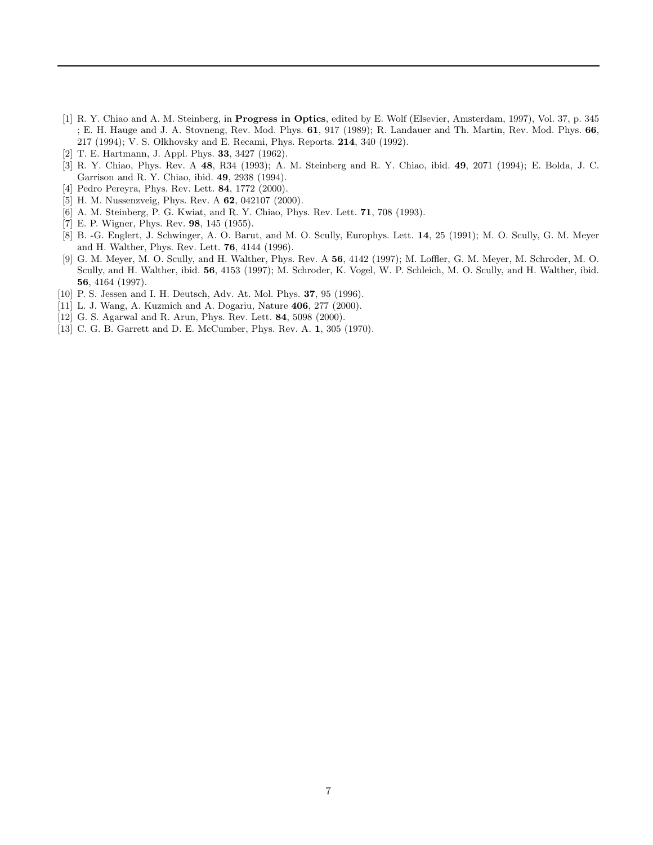- <span id="page-6-0"></span>[1] R. Y. Chiao and A. M. Steinberg, in Progress in Optics, edited by E. Wolf (Elsevier, Amsterdam, 1997), Vol. 37, p. 345 ; E. H. Hauge and J. A. Stovneng, Rev. Mod. Phys. 61, 917 (1989); R. Landauer and Th. Martin, Rev. Mod. Phys. 66, 217 (1994); V. S. Olkhovsky and E. Recami, Phys. Reports. 214, 340 (1992).
- [2] T. E. Hartmann, J. Appl. Phys. 33, 3427 (1962).
- [3] R. Y. Chiao, Phys. Rev. A 48, R34 (1993); A. M. Steinberg and R. Y. Chiao, ibid. 49, 2071 (1994); E. Bolda, J. C. Garrison and R. Y. Chiao, ibid. 49, 2938 (1994).
- [4] Pedro Pereyra, Phys. Rev. Lett. 84, 1772 (2000).
- [5] H. M. Nussenzveig, Phys. Rev. A 62, 042107 (2000).
- [6] A. M. Steinberg, P. G. Kwiat, and R. Y. Chiao, Phys. Rev. Lett. 71, 708 (1993).
- [7] E. P. Wigner, Phys. Rev. 98, 145 (1955).
- [8] B. -G. Englert, J. Schwinger, A. O. Barut, and M. O. Scully, Europhys. Lett. 14, 25 (1991); M. O. Scully, G. M. Meyer and H. Walther, Phys. Rev. Lett. 76, 4144 (1996).
- [9] G. M. Meyer, M. O. Scully, and H. Walther, Phys. Rev. A 56, 4142 (1997); M. Loffler, G. M. Meyer, M. Schroder, M. O. Scully, and H. Walther, ibid. 56, 4153 (1997); M. Schroder, K. Vogel, W. P. Schleich, M. O. Scully, and H. Walther, ibid. 56, 4164 (1997).
- [10] P. S. Jessen and I. H. Deutsch, Adv. At. Mol. Phys. **37**, 95 (1996).
- [11] L. J. Wang, A. Kuzmich and A. Dogariu, Nature 406, 277 (2000).
- [12] G. S. Agarwal and R. Arun, Phys. Rev. Lett. 84, 5098 (2000).
- [13] C. G. B. Garrett and D. E. McCumber, Phys. Rev. A. 1, 305 (1970).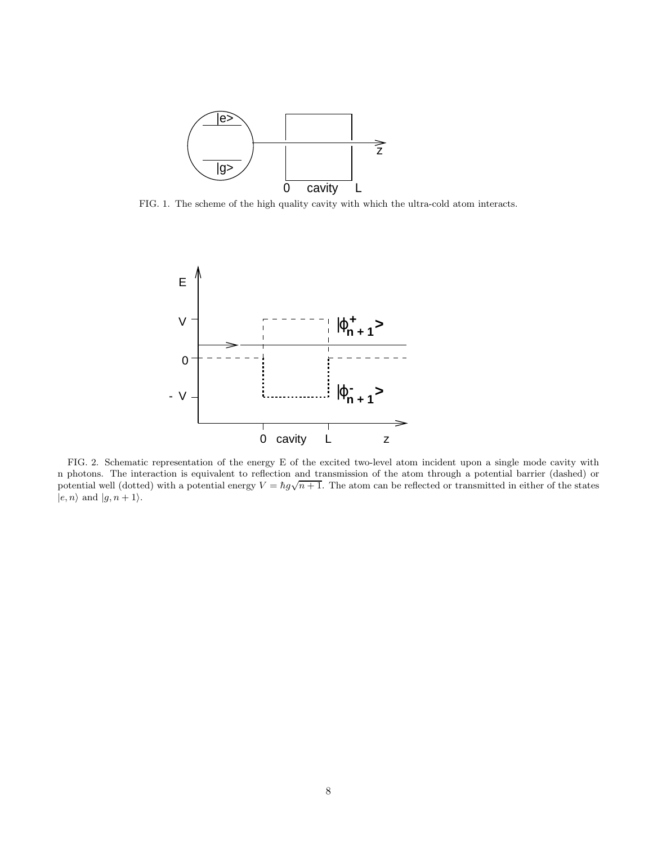

FIG. 1. The scheme of the high quality cavity with which the ultra-cold atom interacts.



FIG. 2. Schematic representation of the energy E of the excited two-level atom incident upon a single mode cavity with n photons. The interaction is equivalent to reflection and transmission of the atom through a potential barrier (dashed) or potential well (dotted) with a potential energy  $V = \hbar g \sqrt{n+1}$ . The atom can be reflected or transmitted in either of the states  $|e, n\rangle$  and  $|g, n + 1\rangle$ .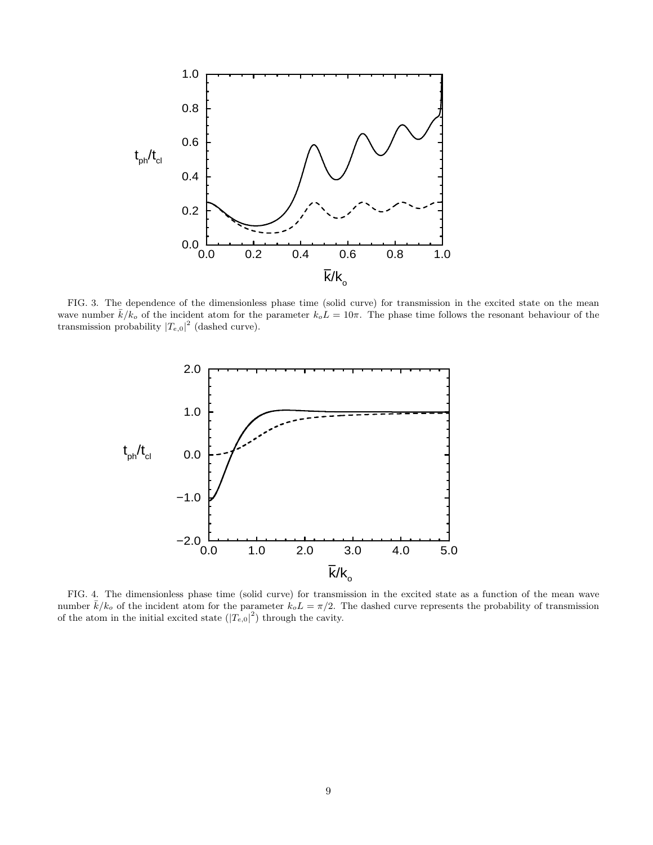

FIG. 3. The dependence of the dimensionless phase time (solid curve) for transmission in the excited state on the mean wave number  $\bar{k}/k_o$  of the incident atom for the parameter  $k_o L = 10\pi$ . The phase time follows the resonant behaviour of the transmission probability  $|T_{e,0}|^2$  (dashed curve).



FIG. 4. The dimensionless phase time (solid curve) for transmission in the excited state as a function of the mean wave number  $\bar{k}/k_o$  of the incident atom for the parameter  $k_o L = \pi/2$ . The dashed curve represents the probability of transmission of the atom in the initial excited state  $(|T_{e,0}|^2)$  through the cavity.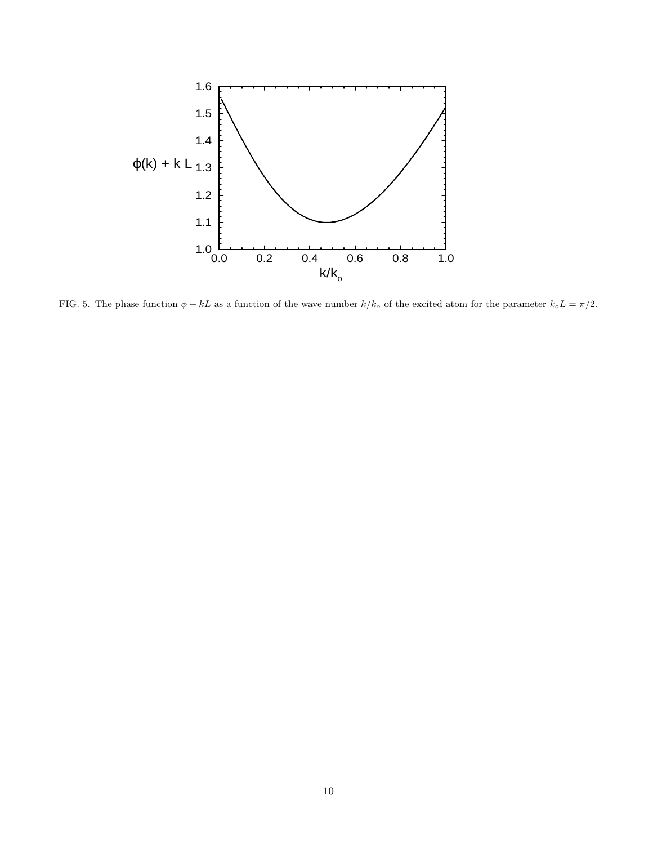

FIG. 5. The phase function  $\phi + kL$  as a function of the wave number  $k/k_o$  of the excited atom for the parameter  $k_o L = \pi/2$ .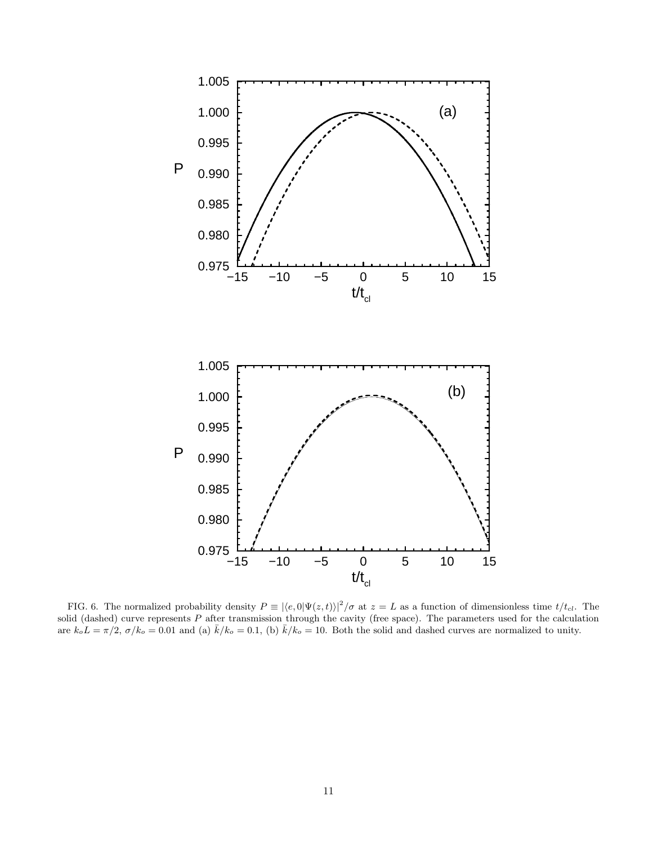

FIG. 6. The normalized probability density  $P \equiv |\langle e, 0 | \Psi(z, t) \rangle|^2 / \sigma$  at  $z = L$  as a function of dimensionless time  $t/t_{cl}$ . The solid (dashed) curve represents  $P$  after transmission through the cavity (free space). The parameters used for the calculation are  $k_o L = \pi/2$ ,  $\sigma/k_o = 0.01$  and (a)  $\bar{k}/k_o = 0.1$ , (b)  $\bar{k}/k_o = 10$ . Both the solid and dashed curves are normalized to unity.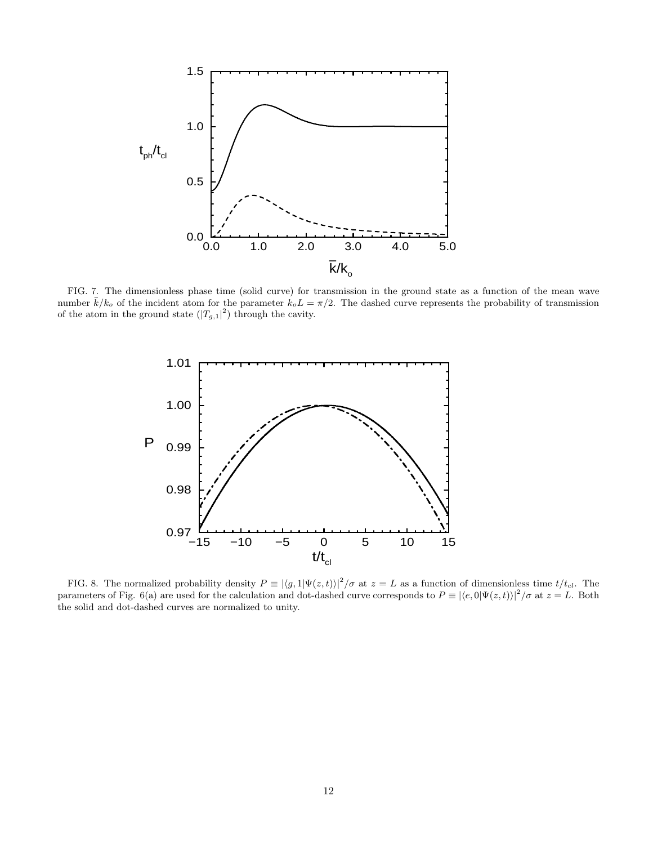

FIG. 7. The dimensionless phase time (solid curve) for transmission in the ground state as a function of the mean wave number  $\bar{k}/k_o$  of the incident atom for the parameter  $k_o L = \pi/2$ . The dashed curve represents the probability of transmission of the atom in the ground state  $(|T_{g,1}|^2)$  through the cavity.



FIG. 8. The normalized probability density  $P \equiv |\langle g, 1 | \Psi(z, t) \rangle|^2 / \sigma$  at  $z = L$  as a function of dimensionless time  $t/t_{cl}$ . The parameters of Fig. 6(a) are used for the calculation and dot-dashed curve corresponds to  $P \equiv |\langle e, 0 | \Psi(z, t) \rangle|^2 / \sigma$  at  $z = L$ . Both the solid and dot-dashed curves are normalized to unity.